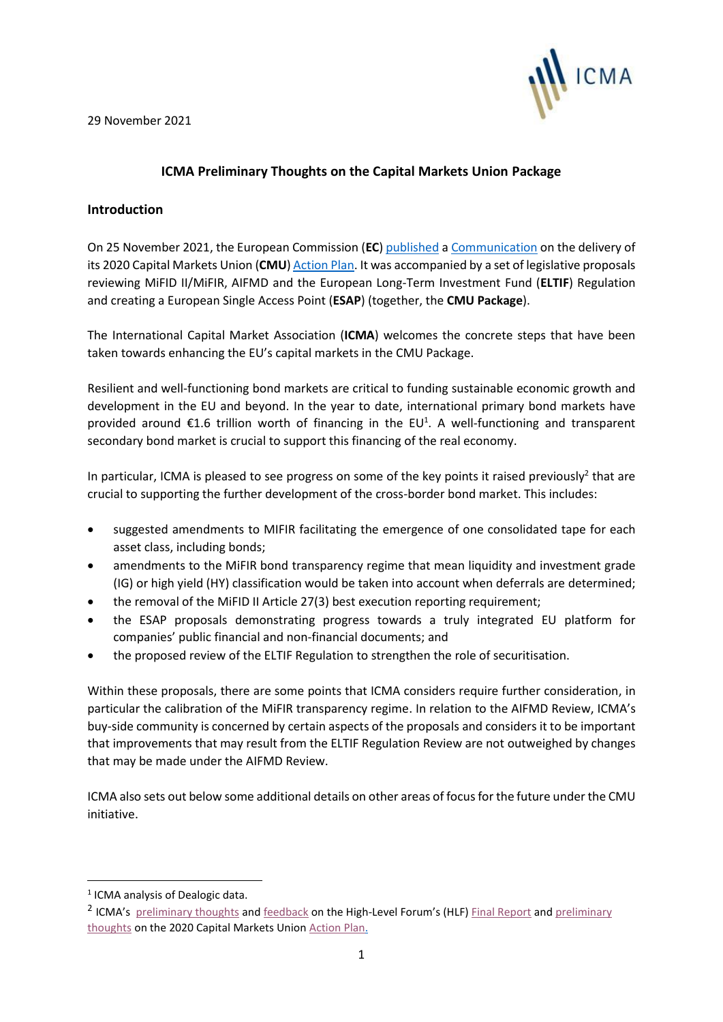29 November 2021



# **ICMA Preliminary Thoughts on the Capital Markets Union Package**

#### **Introduction**

On 25 November 2021, the European Commission (**EC**) [published](https://ec.europa.eu/info/publications/211125-capital-markets-union-package_en) a [Communication](https://ec.europa.eu/finance/docs/law/211125-communication-capital-markets-union_en.pdf) on the delivery of its 2020 Capital Markets Union (**CMU**[\) Action Plan.](https://eur-lex.europa.eu/legal-content/EN/TXT/?uri=COM:2020:590:FIN) It was accompanied by a set of legislative proposals reviewing MiFID II/MiFIR, AIFMD and the European Long-Term Investment Fund (**ELTIF**) Regulation and creating a European Single Access Point (**ESAP**) (together, the **CMU Package**).

The International Capital Market Association (**ICMA**) welcomes the concrete steps that have been taken towards enhancing the EU's capital markets in the CMU Package.

Resilient and well-functioning bond markets are critical to funding sustainable economic growth and development in the EU and beyond. In the year to date, international primary bond markets have provided around  $\epsilon$ 1.6 trillion worth of financing in the EU<sup>1</sup>. A well-functioning and transparent secondary bond market is crucial to support this financing of the real economy.

In particular, ICMA is pleased to see progress on some of the key points it raised previously<sup>2</sup> that are crucial to supporting the further development of the cross-border bond market. This includes:

- suggested amendments to MIFIR facilitating the emergence of one consolidated tape for each asset class, including bonds;
- amendments to the MiFIR bond transparency regime that mean liquidity and investment grade (IG) or high yield (HY) classification would be taken into account when deferrals are determined;
- the removal of the MiFID II Article 27(3) best execution reporting requirement;
- the ESAP proposals demonstrating progress towards a truly integrated EU platform for companies' public financial and non-financial documents; and
- the proposed review of the ELTIF Regulation to strengthen the role of securitisation.

Within these proposals, there are some points that ICMA considers require further consideration, in particular the calibration of the MiFIR transparency regime. In relation to the AIFMD Review, ICMA's buy-side community is concerned by certain aspects of the proposals and considers it to be important that improvements that may result from the ELTIF Regulation Review are not outweighed by changes that may be made under the AIFMD Review.

ICMA also sets out below some additional details on other areas of focus for the future under the CMU initiative.

<sup>&</sup>lt;sup>1</sup> ICMA analysis of Dealogic data.

<sup>&</sup>lt;sup>2</sup> ICMA's [preliminary thoughts](https://www.icmagroup.org/assets/documents/Regulatory/CMU/ICMAHLF-CMU-120620.pdf) and [feedback](https://www.icmagroup.org/assets/documents/Regulatory/CMU/HLF-CMU-Report-ICMA-feedback-FINAL-for-ICMA-website-30-Jun-2020-010720.pdf) on the High-Level Forum's (HLF) [Final Report](https://ec.europa.eu/info/sites/default/files/business_economy_euro/growth_and_investment/documents/200610-cmu-high-level-forum-final-report_en.pdf) and preliminary [thoughts](https://www.icmagroup.org/assets/documents/Regulatory/CMU/ICMA-preliminary-thoughts-on-new-CMU-01102020.pdf) on the 2020 Capital Markets Union [Action Plan.](https://ec.europa.eu/info/business-economy-euro/growth-and-investment/capital-markets-union/capital-markets-union-2020-action-plan_en)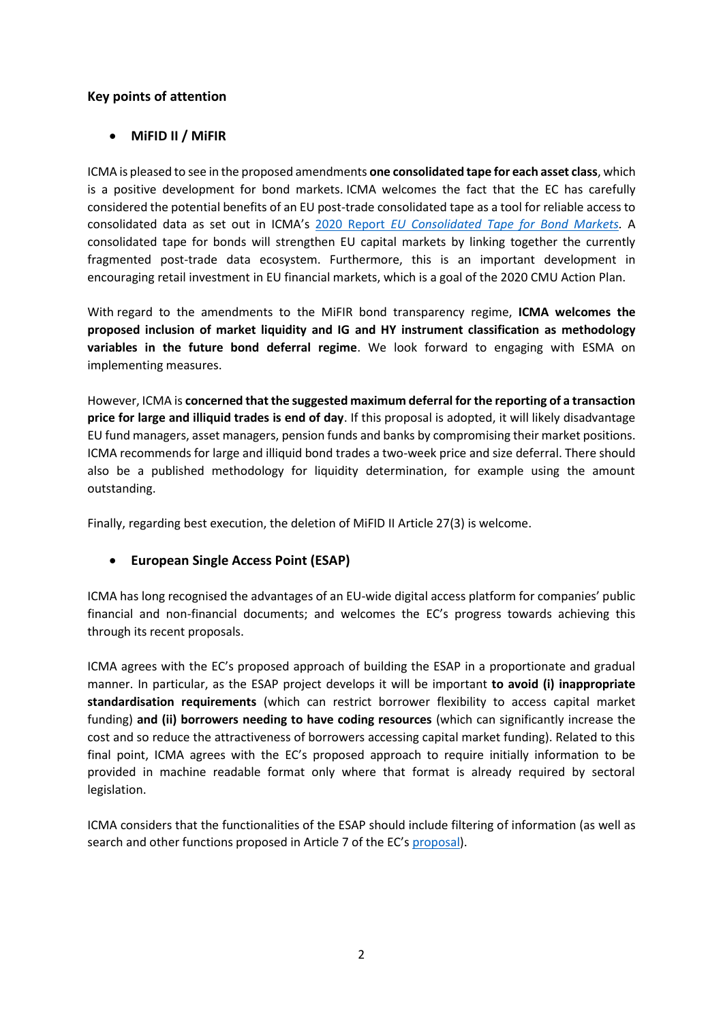# **Key points of attention**

## • **MiFID II / MiFIR**

ICMA is pleased to see in the proposed amendments **one consolidated tape for each asset class**, which is a positive development for bond markets. ICMA welcomes the fact that the EC has carefully considered the potential benefits of an EU post-trade consolidated tape as a tool for reliable access to consolidated data as set out in ICMA's [2020 Report](https://www.icmagroup.org/assets/documents/Regulatory/MiFID-Review/EU-Consolidated-Tape-for-Bond-Markets-Final-report-for-the-European-Commission-290420v2.pdf) *EU Consolidated Tape for Bond Markets.* A consolidated tape for bonds will strengthen EU capital markets by linking together the currently fragmented post-trade data ecosystem. Furthermore, this is an important development in encouraging retail investment in EU financial markets, which is a goal of the 2020 CMU Action Plan.

With regard to the amendments to the MiFIR bond transparency regime, **ICMA welcomes the proposed inclusion of market liquidity and IG and HY instrument classification as methodology variables in the future bond deferral regime**. We look forward to engaging with ESMA on implementing measures.

However, ICMA is **concerned that the suggested maximum deferral for the reporting of a transaction price for large and illiquid trades is end of day**. If this proposal is adopted, it will likely disadvantage EU fund managers, asset managers, pension funds and banks by compromising their market positions. ICMA recommends for large and illiquid bond trades a two-week price and size deferral. There should also be a published methodology for liquidity determination, for example using the amount outstanding.

Finally, regarding best execution, the deletion of MiFID II Article 27(3) is welcome.

#### • **European Single Access Point (ESAP)**

ICMA has long recognised the advantages of an EU-wide digital access platform for companies' public financial and non-financial documents; and welcomes the EC's progress towards achieving this through its recent proposals.

ICMA agrees with the EC's proposed approach of building the ESAP in a proportionate and gradual manner. In particular, as the ESAP project develops it will be important **to avoid (i) inappropriate standardisation requirements** (which can restrict borrower flexibility to access capital market funding) **and (ii) borrowers needing to have coding resources** (which can significantly increase the cost and so reduce the attractiveness of borrowers accessing capital market funding). Related to this final point, ICMA agrees with the EC's proposed approach to require initially information to be provided in machine readable format only where that format is already required by sectoral legislation.

ICMA considers that the functionalities of the ESAP should include filtering of information (as well as search and other functions proposed in Article 7 of the EC's [proposal\)](https://ec.europa.eu/finance/docs/law/211125-proposal-esap-regulation_en.pdf).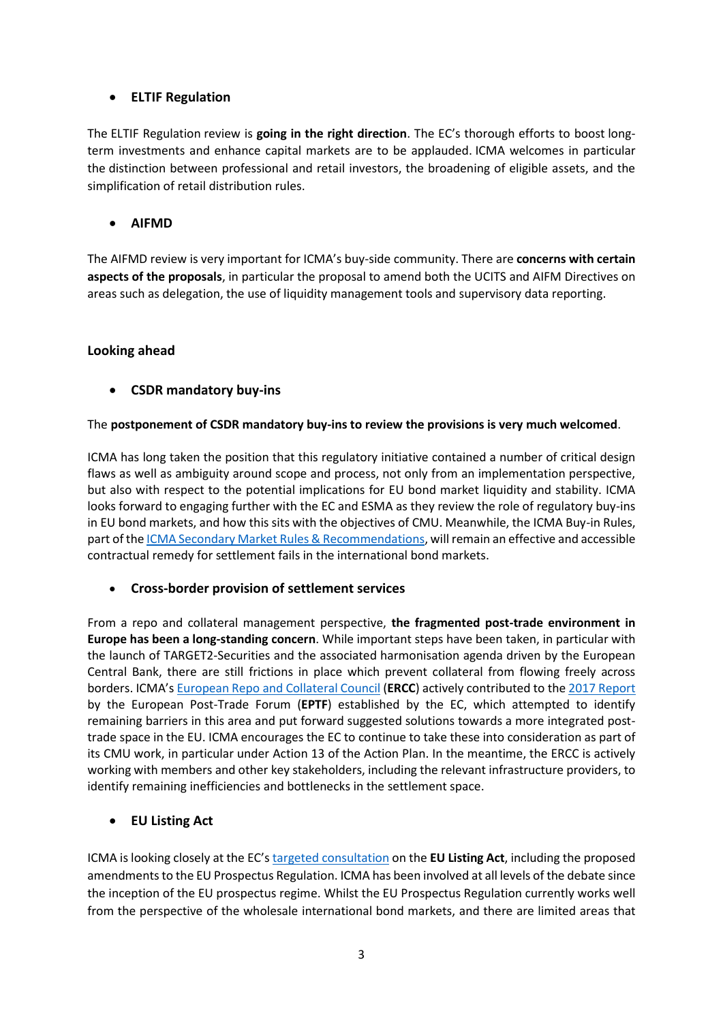## • **ELTIF Regulation**

The ELTIF Regulation review is **going in the right direction**. The EC's thorough efforts to boost longterm investments and enhance capital markets are to be applauded. ICMA welcomes in particular the distinction between professional and retail investors, the broadening of eligible assets, and the simplification of retail distribution rules.

### • **AIFMD**

The AIFMD review is very important for ICMA's buy-side community. There are **concerns with certain aspects of the proposals**, in particular the proposal to amend both the UCITS and AIFM Directives on areas such as delegation, the use of liquidity management tools and supervisory data reporting.

#### **Looking ahead**

# • **CSDR mandatory buy-ins**

#### The **postponement of CSDR mandatory buy-ins to review the provisions is very much welcomed**.

ICMA has long taken the position that this regulatory initiative contained a number of critical design flaws as well as ambiguity around scope and process, not only from an implementation perspective, but also with respect to the potential implications for EU bond market liquidity and stability. ICMA looks forward to engaging further with the EC and ESMA as they review the role of regulatory buy-ins in EU bond markets, and how this sits with the objectives of CMU. Meanwhile, the ICMA Buy-in Rules, part of th[e ICMA Secondary Market Rules & Recommendations,](https://icmagroup.us11.list-manage.com/track/click?u=b205184c508371a5b962c65f8&id=3495ec18dd&e=abd3197b1e) will remain an effective and accessible contractual remedy for settlement fails in the international bond markets.

#### • **Cross-border provision of settlement services**

From a repo and collateral management perspective, **the fragmented post-trade environment in Europe has been a long-standing concern**. While important steps have been taken, in particular with the launch of TARGET2-Securities and the associated harmonisation agenda driven by the European Central Bank, there are still frictions in place which prevent collateral from flowing freely across borders. ICMA's [European Repo and Collateral Council](https://www.icmagroup.org/Regulatory-Policy-and-Market-Practice/repo-and-collateral-markets/) (**ERCC**) actively contributed to th[e 2017 Report](https://ec.europa.eu/info/sites/default/files/170515-eptf-report_en.pdf) by the European Post-Trade Forum (**EPTF**) established by the EC, which attempted to identify remaining barriers in this area and put forward suggested solutions towards a more integrated posttrade space in the EU. ICMA encourages the EC to continue to take these into consideration as part of its CMU work, in particular under Action 13 of the Action Plan. In the meantime, the ERCC is actively working with members and other key stakeholders, including the relevant infrastructure providers, to identify remaining inefficiencies and bottlenecks in the settlement space.

#### • **EU Listing Act**

ICMA is looking closely at the EC's [targeted consultation](https://ec.europa.eu/info/sites/default/files/business_economy_euro/banking_and_finance/documents/2021-listing-act-targeted-consultation-document_en.pdf) on the **EU Listing Act**, including the proposed amendments to the EU Prospectus Regulation. ICMA has been involved at all levels of the debate since the inception of the EU prospectus regime. Whilst the EU Prospectus Regulation currently works well from the perspective of the wholesale international bond markets, and there are limited areas that